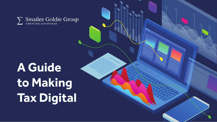

# **A Guide to Making Tax Digital**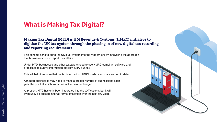#### **What is Making Tax Digital?**

#### **Making Tax Digital (MTD) is HM Revenue & Customs (HMRC) initiative to digitise the UK tax system through the phasing in of new digital tax recording and reporting requirements.**

This scheme aims to bring the UK's tax system into the modern era by innovating the approach that businesses use to report their affairs.

Under MTD, businesses and other taxpayers need to use HMRC-compliant software and processes to submit information digitally every quarter.

This will help to ensure that the tax information HMRC holds is accurate and up to date.

Although businesses may need to make a greater number of submissions each year, the point at which tax is due will remain unchanged.

At present, MTD has only been integrated into the VAT system, but it will eventually be phased in for all forms of taxation over the next few years.

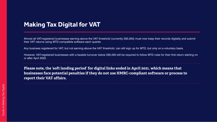# **Making Tax Digital for VAT**

Almost all VAT-registered businesses earning above the VAT threshold (currently £85,000) must now keep their records digitally and submit their VAT returns using MTD-compatible software each quarter.

Any business registered for VAT, but not earning above the VAT threshold, can still sign up for MTD, but only on a voluntary basis.

However, VAT-registered businesses with a taxable turnover below £85,000 will be required to follow MTD rules for their first return starting on or after April 2022.

**Please note, the 'soft landing period' for digital links ended in April 2021, which means that businesses face potential penalties if they do not use HMRC-compliant software or process to report their VAT affairs.**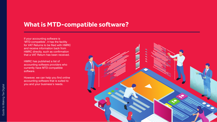#### **What is MTD-compatible software?**

If your accounting software is 'MTD-compatible', it has the facility for VAT Returns to be filed with HMRC and receive information back from HMRC directly, such as confirmation that a VAT Return has been received.

HMRC has published a list of accounting software providers who currently have MTD-compatible software.

However, we can help you find online accounting software that is suited to you and your business's needs.

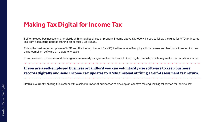# **Making Tax Digital for Income Tax**

Self-employed businesses and landlords with annual business or property income above £10,000 will need to follow the rules for MTD for Income Tax from accounting periods starting on or after 6 April 2023.

This is the next important phase of MTD and like the requirement for VAT, it will require self-employed businesses and landlords to report income using compliant software on a quarterly basis.

In some cases, businesses and their agents are already using compliant software to keep digital records, which may make this transition simpler.

**If you are a self-employed business or landlord you can voluntarily use software to keep business records digitally and send Income Tax updates to HMRC instead of filing a Self-Assessment tax return.**

HMRC is currently piloting this system with a select number of businesses to develop an effective Making Tax Digital service for Income Tax.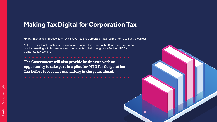### **Making Tax Digital for Corporation Tax**

HMRC intends to introduce its MTD initiative into the Corporation Tax regime from 2026 at the earliest.

At the moment, not much has been confirmed about this phase of MTD, as the Government is still consulting with businesses and their agents to help design an effective MTD for Corporate Tax system.

**The Government will also provide businesses with an opportunity to take part in a pilot for MTD for Corporation Tax before it becomes mandatory in the years ahead.**



╱